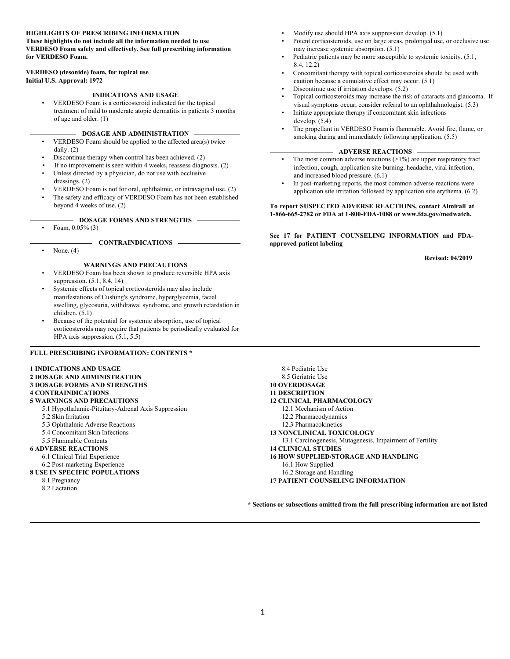#### **HIGHLIGHTS OF PRESCRIBING INFORMATION These highlights do not include all the information needed to use**

**VERDESO Foam safely and effectively. See full prescribing information for VERDESO Foam.** 

#### **Initial U.S. Approval: 1972 VERDESO (desonide) foam, for topical use**

# **INDICATIONS AND USAGE**

 of age and older. (1) • VERDESO Foam is a corticosteroid indicated for the topical treatment of mild to moderate atopic dermatitis in patients 3 months

#### **DOSAGE AND ADMINISTRATION**

- VERDESO Foam should be applied to the affected area(s) twice daily. (2)
- Discontinue therapy when control has been achieved. (2)
- If no improvement is seen within 4 weeks, reassess diagnosis. (2)
- dressings. (2) Unless directed by a physician, do not use with occlusive
- VERDESO Foam is not for oral, ophthalmic, or intravaginal use. (2)
- beyond 4 weeks of use. (2) The safety and efficacy of VERDESO Foam has not been established

#### **DOSAGE FORMS AND STRENGTHS**

• Foam,  $0.05\%$  (3)

- **CONTRAINDICATIONS** 

None.  $(4)$ 

#### **WARNINGS AND PRECAUTIONS**

- suppression. (5.1, 8.4, 14) • VERDESO Foam has been shown to produce reversible HPA axis
- swelling, glycosuria, withdrawal syndrome, and growth retardation in Systemic effects of topical corticosteroids may also include manifestations of Cushing's syndrome, hyperglycemia, facial children. (5.1)
- HPA axis suppression. (5.1, 5.5) • Because of the potential for systemic absorption, use of topical corticosteroids may require that patients be periodically evaluated for

#### **FULL PRESCRIBING INFORMATION: CONTENTS \***

#### **1 INDICATIONS AND USAGE**

- **3 DOSAGE FORMS AND STRENGTHS 2 DOSAGE AND ADMINISTRATION 4 CONTRAINDICATIONS 5 WARNINGS AND PRECAUTIONS**  5.1 Hypothalamic-Pituitary-Adrenal Axis Suppression 5.2 Skin Irritation 5.3 Ophthalmic Adverse Reactions 5.4 Concomitant Skin Infections 5.5 Flammable Contents **6 ADVERSE REACTIONS**  6.1 Clinical Trial Experience 6.2 Post-marketing Experience **8 USE IN SPECIFIC POPULATIONS**  8.1 Pregnancy
	- 8.2 Lactation
- Modify use should HPA axis suppression develop. (5.1)
- may increase systemic absorption. (5.1) Potent corticosteroids, use on large areas, prolonged use, or occlusive use
- 8.4, 12.2) • Pediatric patients may be more susceptible to systemic toxicity. (5.1,
- Concomitant therapy with topical corticosteroids should be used with caution because a cumulative effect may occur. (5.1)
- Discontinue use if irritation develops.  $(5.2)$
- • Topical corticosteroids may increase the risk of cataracts and glaucoma. If visual symptoms occur, consider referral to an ophthalmologist. (5.3)
- develop. (5.4) Initiate appropriate therapy if concomitant skin infections
- The propellant in VERDESO Foam is flammable. Avoid fire, flame, or smoking during and immediately following application. (5.5)

#### **ADVERSE REACTIONS**

- The most common adverse reactions  $(>1%)$  are upper respiratory tract infection, cough, application site burning, headache, viral infection, and increased blood pressure. (6.1)
- In post-marketing reports, the most common adverse reactions were application site irritation followed by application site erythema. (6.2)

#### **1-866-665-2782 or FDA at 1-800-FDA-1088 or www.fda.gov/medwatch. To report SUSPECTED ADVERSE REACTIONS, contact Almirall at**

 **See 17 for PATIENT COUNSELING INFORMATION and FDAapproved patient labeling**

 **Revised: 04/2019** 

 12.1 Mechanism of Action 8.4 Pediatric Use 8.5 Geriatric Use **10 OVERDOSAGE 11 DESCRIPTION 12 CLINICAL PHARMACOLOGY** 12.2 Pharmacodynamics 12.3 Pharmacokinetics **13 NONCLINICAL TOXICOLOGY**  13.1 Carcinogenesis, Mutagenesis, Impairment of Fertility **14 CLINICAL STUDIES 16 HOW SUPPLIED/STORAGE AND HANDLING** 16.1 How Supplied 16.2 Storage and Handling **17 PATIENT COUNSELING INFORMATION** 

**\* Sections or subsections omitted from the full prescribing information are not listed**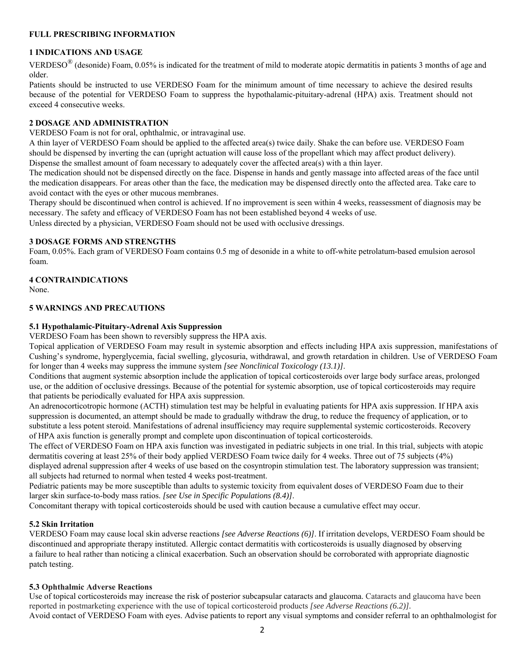### **FULL PRESCRIBING INFORMATION**

# **1 INDICATIONS AND USAGE**

VERDESO<sup>®</sup> (desonide) Foam, 0.05% is indicated for the treatment of mild to moderate atopic dermatitis in patients 3 months of age and older.

 Patients should be instructed to use VERDESO Foam for the minimum amount of time necessary to achieve the desired results because of the potential for VERDESO Foam to suppress the hypothalamic-pituitary-adrenal (HPA) axis. Treatment should not exceed 4 consecutive weeks.

## **2 DOSAGE AND ADMINISTRATION**

VERDESO Foam is not for oral, ophthalmic, or intravaginal use.

 A thin layer of VERDESO Foam should be applied to the affected area(s) twice daily. Shake the can before use. VERDESO Foam should be dispensed by inverting the can (upright actuation will cause loss of the propellant which may affect product delivery). Dispense the smallest amount of foam necessary to adequately cover the affected area(s) with a thin layer.

 The medication should not be dispensed directly on the face. Dispense in hands and gently massage into affected areas of the face until the medication disappears. For areas other than the face, the medication may be dispensed directly onto the affected area. Take care to avoid contact with the eyes or other mucous membranes.

Therapy should be discontinued when control is achieved. If no improvement is seen within 4 weeks, reassessment of diagnosis may be necessary. The safety and efficacy of VERDESO Foam has not been established beyond 4 weeks of use.

Unless directed by a physician, VERDESO Foam should not be used with occlusive dressings.

### **3 DOSAGE FORMS AND STRENGTHS**

 Foam, 0.05%. Each gram of VERDESO Foam contains 0.5 mg of desonide in a white to off-white petrolatum-based emulsion aerosol foam.

## **4 CONTRAINDICATIONS**

None.

## **5 WARNINGS AND PRECAUTIONS**

## **5.1 Hypothalamic-Pituitary-Adrenal Axis Suppression**

VERDESO Foam has been shown to reversibly suppress the HPA axis.

 Cushing's syndrome, hyperglycemia, facial swelling, glycosuria, withdrawal, and growth retardation in children. Use of VERDESO Foam Topical application of VERDESO Foam may result in systemic absorption and effects including HPA axis suppression, manifestations of for longer than 4 weeks may suppress the immune system *[see Nonclinical Toxicology (13.1)]*.

 use, or the addition of occlusive dressings. Because of the potential for systemic absorption, use of topical corticosteroids may require Conditions that augment systemic absorption include the application of topical corticosteroids over large body surface areas, prolonged that patients be periodically evaluated for HPA axis suppression.

 suppression is documented, an attempt should be made to gradually withdraw the drug, to reduce the frequency of application, or to An adrenocorticotropic hormone (ACTH) stimulation test may be helpful in evaluating patients for HPA axis suppression. If HPA axis substitute a less potent steroid. Manifestations of adrenal insufficiency may require supplemental systemic corticosteroids. Recovery of HPA axis function is generally prompt and complete upon discontinuation of topical corticosteroids.

The effect of VERDESO Foam on HPA axis function was investigated in pediatric subjects in one trial. In this trial, subjects with atopic dermatitis covering at least 25% of their body applied VERDESO Foam twice daily for 4 weeks. Three out of 75 subjects (4%) displayed adrenal suppression after 4 weeks of use based on the cosyntropin stimulation test. The laboratory suppression was transient; all subjects had returned to normal when tested 4 weeks post-treatment.

 Pediatric patients may be more susceptible than adults to systemic toxicity from equivalent doses of VERDESO Foam due to their larger skin surface-to-body mass ratios. *[see Use in Specific Populations (8.4)]*.

Concomitant therapy with topical corticosteroids should be used with caution because a cumulative effect may occur.

### **5.2 Skin Irritation**

 a failure to heal rather than noticing a clinical exacerbation. Such an observation should be corroborated with appropriate diagnostic patch testing. VERDESO Foam may cause local skin adverse reactions *[see Adverse Reactions (6)]*. If irritation develops, VERDESO Foam should be discontinued and appropriate therapy instituted. Allergic contact dermatitis with corticosteroids is usually diagnosed by observing

### **5.3 Ophthalmic Adverse Reactions**

 Avoid contact of VERDESO Foam with eyes. Advise patients to report any visual symptoms and consider referral to an ophthalmologist for Use of topical corticosteroids may increase the risk of posterior subcapsular cataracts and glaucoma. Cataracts and glaucoma have been reported in postmarketing experience with the use of topical corticosteroid products *[see Adverse Reactions (6.2)].*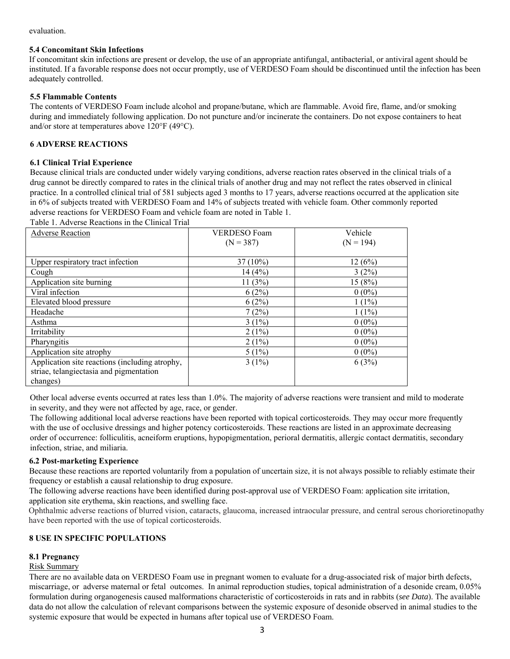#### evaluation.

### **5.4 Concomitant Skin Infections**

 If concomitant skin infections are present or develop, the use of an appropriate antifungal, antibacterial, or antiviral agent should be instituted. If a favorable response does not occur promptly, use of VERDESO Foam should be discontinued until the infection has been adequately controlled.

## **5.5 Flammable Contents**

 The contents of VERDESO Foam include alcohol and propane/butane, which are flammable. Avoid fire, flame, and/or smoking during and immediately following application. Do not puncture and/or incinerate the containers. Do not expose containers to heat and/or store at temperatures above 120°F (49°C).

## **6 ADVERSE REACTIONS**

## **6.1 Clinical Trial Experience**

 drug cannot be directly compared to rates in the clinical trials of another drug and may not reflect the rates observed in clinical adverse reactions for VERDESO Foam and vehicle foam are noted in Table 1. Table 1. Adverse Reactions in the Clinical Trial Because clinical trials are conducted under widely varying conditions, adverse reaction rates observed in the clinical trials of a practice. In a controlled clinical trial of 581 subjects aged 3 months to 17 years, adverse reactions occurred at the application site in 6% of subjects treated with VERDESO Foam and 14% of subjects treated with vehicle foam. Other commonly reported

| <b>Adverse Reaction</b>                        | <b>VERDESO</b> Foam | Vehicle     |
|------------------------------------------------|---------------------|-------------|
|                                                | $(N = 387)$         | $(N = 194)$ |
|                                                |                     |             |
| Upper respiratory tract infection              | 37 (10%)            | 12(6%)      |
| Cough                                          | 14(4%)              | 3(2%)       |
| Application site burning                       | 11(3%)              | 15 (8%)     |
| Viral infection                                | 6(2%)               | $0(0\%)$    |
| Elevated blood pressure                        | 6(2%)               | $1(1\%)$    |
| Headache                                       | 7(2%)               | $1(1\%)$    |
| Asthma                                         | $3(1\%)$            | $0(0\%)$    |
| Irritability                                   | $2(1\%)$            | $0(0\%)$    |
| Pharyngitis                                    | $2(1\%)$            | $0(0\%)$    |
| Application site atrophy                       | $5(1\%)$            | $0(0\%)$    |
| Application site reactions (including atrophy, | $3(1\%)$            | 6(3%)       |
| striae, telangiectasia and pigmentation        |                     |             |
| changes)                                       |                     |             |

 Other local adverse events occurred at rates less than 1.0%. The majority of adverse reactions were transient and mild to moderate in severity, and they were not affected by age, race, or gender.

 The following additional local adverse reactions have been reported with topical corticosteroids. They may occur more frequently with the use of occlusive dressings and higher potency corticosteroids. These reactions are listed in an approximate decreasing order of occurrence: folliculitis, acneiform eruptions, hypopigmentation, perioral dermatitis, allergic contact dermatitis, secondary infection, striae, and miliaria.

## **6.2 Post-marketing Experience**

 Because these reactions are reported voluntarily from a population of uncertain size, it is not always possible to reliably estimate their frequency or establish a causal relationship to drug exposure.

The following adverse reactions have been identified during post-approval use of VERDESO Foam: application site irritation, application site erythema, skin reactions, and swelling face.

Ophthalmic adverse reactions of blurred vision, cataracts, glaucoma, increased intraocular pressure, and central serous chorioretinopathy have been reported with the use of topical corticosteroids.

## **8 USE IN SPECIFIC POPULATIONS**

## **8.1 Pregnancy**

## Risk Summary

 There are no available data on VERDESO Foam use in pregnant women to evaluate for a drug-associated risk of major birth defects, systemic exposure that would be expected in humans after topical use of VERDESO Foam. miscarriage, or adverse maternal or fetal outcomes. In animal reproduction studies, topical administration of a desonide cream, 0.05% formulation during organogenesis caused malformations characteristic of corticosteroids in rats and in rabbits (*see Data*). The available data do not allow the calculation of relevant comparisons between the systemic exposure of desonide observed in animal studies to the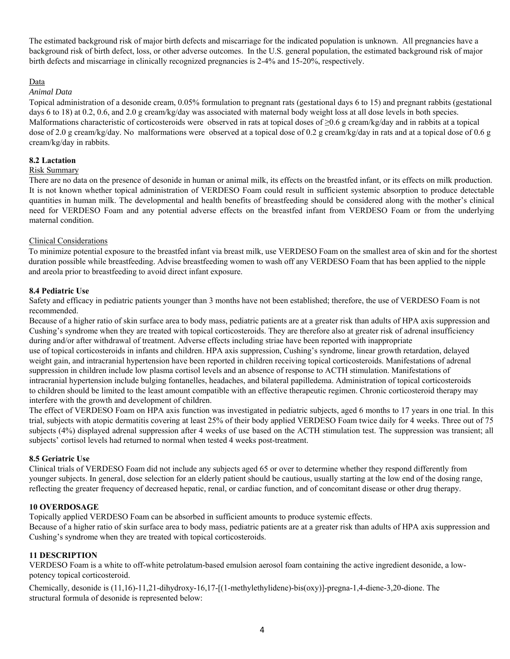The estimated background risk of major birth defects and miscarriage for the indicated population is unknown. All pregnancies have a background risk of birth defect, loss, or other adverse outcomes. In the U.S. general population, the estimated background risk of major birth defects and miscarriage in clinically recognized pregnancies is 2-4% and 15-20%, respectively.

#### Data

#### *Animal Data*

days 6 to 18) at 0.2, 0.6, and 2.0 g cream/kg/day was associated with maternal body weight loss at all dose levels in both species. Malformations characteristic of corticosteroids were observed in rats at topical doses of ≥0.6 g cream/kg/day and in rabbits at a topical dose of 2.0 g cream/kg/day. No malformations were observed at a topical dose of 0.2 g cream/kg/day in rats and at a topical dose of 0.6 g Topical administration of a desonide cream, 0.05% formulation to pregnant rats (gestational days 6 to 15) and pregnant rabbits (gestational cream/kg/day in rabbits.

### **8.2 Lactation**

### Risk Summary

 There are no data on the presence of desonide in human or animal milk, its effects on the breastfed infant, or its effects on milk production. It is not known whether topical administration of VERDESO Foam could result in sufficient systemic absorption to produce detectable quantities in human milk. The developmental and health benefits of breastfeeding should be considered along with the mother's clinical need for VERDESO Foam and any potential adverse effects on the breastfed infant from VERDESO Foam or from the underlying maternal condition.

### Clinical Considerations

 To minimize potential exposure to the breastfed infant via breast milk, use VERDESO Foam on the smallest area of skin and for the shortest and areola prior to breastfeeding to avoid direct infant exposure. duration possible while breastfeeding. Advise breastfeeding women to wash off any VERDESO Foam that has been applied to the nipple

## **8.4 Pediatric Use**

Safety and efficacy in pediatric patients younger than 3 months have not been established; therefore, the use of VERDESO Foam is not recommended.

Because of a higher ratio of skin surface area to body mass, pediatric patients are at a greater risk than adults of HPA axis suppression and Cushing's syndrome when they are treated with topical corticosteroids. They are therefore also at greater risk of adrenal insufficiency during and/or after withdrawal of treatment. Adverse effects including striae have been reported with inappropriate

 suppression in children include low plasma cortisol levels and an absence of response to ACTH stimulation. Manifestations of interfere with the growth and development of children. use of topical corticosteroids in infants and children. HPA axis suppression, Cushing's syndrome, linear growth retardation, delayed weight gain, and intracranial hypertension have been reported in children receiving topical corticosteroids. Manifestations of adrenal intracranial hypertension include bulging fontanelles, headaches, and bilateral papilledema. Administration of topical corticosteroids to children should be limited to the least amount compatible with an effective therapeutic regimen. Chronic corticosteroid therapy may

 The effect of VERDESO Foam on HPA axis function was investigated in pediatric subjects, aged 6 months to 17 years in one trial. In this trial, subjects with atopic dermatitis covering at least 25% of their body applied VERDESO Foam twice daily for 4 weeks. Three out of 75 subjects (4%) displayed adrenal suppression after 4 weeks of use based on the ACTH stimulation test. The suppression was transient; all subjects' cortisol levels had returned to normal when tested 4 weeks post-treatment.

### **8.5 Geriatric Use**

 Clinical trials of VERDESO Foam did not include any subjects aged 65 or over to determine whether they respond differently from reflecting the greater frequency of decreased hepatic, renal, or cardiac function, and of concomitant disease or other drug therapy. younger subjects. In general, dose selection for an elderly patient should be cautious, usually starting at the low end of the dosing range,

### **10 OVERDOSAGE**

Topically applied VERDESO Foam can be absorbed in sufficient amounts to produce systemic effects.

Because of a higher ratio of skin surface area to body mass, pediatric patients are at a greater risk than adults of HPA axis suppression and Cushing's syndrome when they are treated with topical corticosteroids.

### **11 DESCRIPTION**

VERDESO Foam is a white to off-white petrolatum-based emulsion aerosol foam containing the active ingredient desonide, a lowpotency topical corticosteroid.

 structural formula of desonide is represented below: Chemically, desonide is (11,16)-11,21-dihydroxy-16,17-[(1-methylethylidene)-bis(oxy)]-pregna-1,4-diene-3,20-dione. The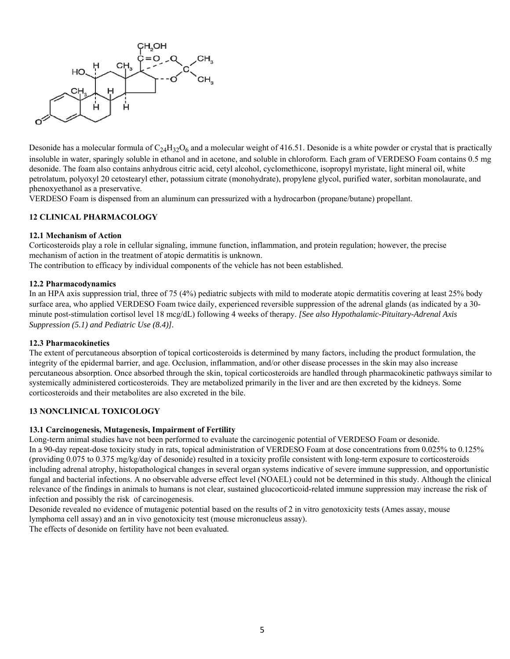

Desonide has a molecular formula of  $C_{24}H_{32}O_6$  and a molecular weight of 416.51. Desonide is a white powder or crystal that is practically petrolatum, polyoxyl 20 cetostearyl ether, potassium citrate (monohydrate), propylene glycol, purified water, sorbitan monolaurate, and insoluble in water, sparingly soluble in ethanol and in acetone, and soluble in chloroform. Each gram of VERDESO Foam contains 0.5 mg desonide. The foam also contains anhydrous citric acid, cetyl alcohol, cyclomethicone, isopropyl myristate, light mineral oil, white phenoxyethanol as a preservative.

VERDESO Foam is dispensed from an aluminum can pressurized with a hydrocarbon (propane/butane) propellant.

## **12 CLINICAL PHARMACOLOGY**

#### **12.1 Mechanism of Action**

 mechanism of action in the treatment of atopic dermatitis is unknown. Corticosteroids play a role in cellular signaling, immune function, inflammation, and protein regulation; however, the precise The contribution to efficacy by individual components of the vehicle has not been established.

### **12.2 Pharmacodynamics**

 minute post-stimulation cortisol level 18 mcg/dL) following 4 weeks of therapy. *[See also Hypothalamic-Pituitary-Adrenal Axis*  In an HPA axis suppression trial, three of 75 (4%) pediatric subjects with mild to moderate atopic dermatitis covering at least 25% body surface area, who applied VERDESO Foam twice daily, experienced reversible suppression of the adrenal glands (as indicated by a 30- *Suppression (5.1) and Pediatric Use (8.4)].* 

#### **12.3 Pharmacokinetics**

 The extent of percutaneous absorption of topical corticosteroids is determined by many factors, including the product formulation, the integrity of the epidermal barrier, and age. Occlusion, inflammation, and/or other disease processes in the skin may also increase percutaneous absorption. Once absorbed through the skin, topical corticosteroids are handled through pharmacokinetic pathways similar to corticosteroids and their metabolites are also excreted in the bile. systemically administered corticosteroids. They are metabolized primarily in the liver and are then excreted by the kidneys. Some

### **13 NONCLINICAL TOXICOLOGY**

### **13.1 Carcinogenesis, Mutagenesis, Impairment of Fertility**

 In a 90-day repeat-dose toxicity study in rats, topical administration of VERDESO Foam at dose concentrations from 0.025% to 0.125% (providing 0.075 to 0.375 mg/kg/day of desonide) resulted in a toxicity profile consistent with long-term exposure to corticosteroids fungal and bacterial infections. A no observable adverse effect level (NOAEL) could not be determined in this study. Although the clinical relevance of the findings in animals to humans is not clear, sustained glucocorticoid-related immune suppression may increase the risk of Long-term animal studies have not been performed to evaluate the carcinogenic potential of VERDESO Foam or desonide. including adrenal atrophy, histopathological changes in several organ systems indicative of severe immune suppression, and opportunistic infection and possibly the risk of carcinogenesis.

Desonide revealed no evidence of mutagenic potential based on the results of 2 in vitro genotoxicity tests (Ames assay, mouse lymphoma cell assay) and an in vivo genotoxicity test (mouse micronucleus assay).

The effects of desonide on fertility have not been evaluated.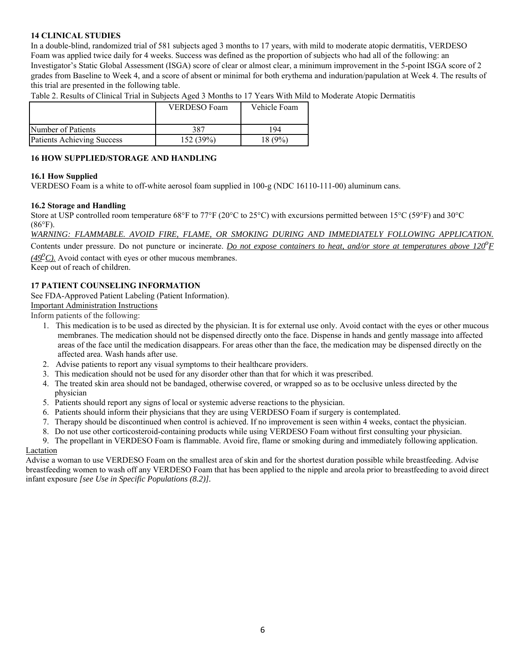## **14 CLINICAL STUDIES**

 In a double-blind, randomized trial of 581 subjects aged 3 months to 17 years, with mild to moderate atopic dermatitis, VERDESO Foam was applied twice daily for 4 weeks. Success was defined as the proportion of subjects who had all of the following: an Investigator's Static Global Assessment (ISGA) score of clear or almost clear, a minimum improvement in the 5-point ISGA score of 2 grades from Baseline to Week 4, and a score of absent or minimal for both erythema and induration/papulation at Week 4. The results of this trial are presented in the following table.

Table 2. Results of Clinical Trial in Subjects Aged 3 Months to 17 Years With Mild to Moderate Atopic Dermatitis

|                                   | VERDESO Foam | Vehicle Foam |
|-----------------------------------|--------------|--------------|
| Number of Patients                | 387          | 94           |
| <b>Patients Achieving Success</b> | 152 (39%)    | $8(9\%)$     |

### **16 HOW SUPPLIED/STORAGE AND HANDLING**

### **16.1 How Supplied**

VERDESO Foam is a white to off-white aerosol foam supplied in 100-g (NDC 16110-111-00) aluminum cans.

#### **16.2 Storage and Handling**

 Store at USP controlled room temperature 68°F to 77°F (20°C to 25°C) with excursions permitted between 15°C (59°F) and 30°C  $(86^{\circ}F).$ 

*WARNING: FLAMMABLE. AVOID FIRE, FLAME, OR SMOKING DURING AND IMMEDIATELY FOLLOWING APPLICATION.* 

Contents under pressure. Do not puncture or incinerate. *Do not expose containers to heat, and/or store at temperatures above 120<sup>°</sup>F* 

(49<sup>o</sup>C). Avoid contact with eyes or other mucous membranes. Keep out of reach of children.

### **17 PATIENT COUNSELING INFORMATION**

See FDA-Approved Patient Labeling (Patient Information).

## Important Administration Instructions

Inform patients of the following:

- 1. This medication is to be used as directed by the physician. It is for external use only. Avoid contact with the eyes or other mucous membranes. The medication should not be dispensed directly onto the face. Dispense in hands and gently massage into affected areas of the face until the medication disappears. For areas other than the face, the medication may be dispensed directly on the affected area. Wash hands after use.
- 2. Advise patients to report any visual symptoms to their healthcare providers.
- 3. This medication should not be used for any disorder other than that for which it was prescribed.
- 4. The treated skin area should not be bandaged, otherwise covered, or wrapped so as to be occlusive unless directed by the physician
- 5. Patients should report any signs of local or systemic adverse reactions to the physician.
- 6. Patients should inform their physicians that they are using VERDESO Foam if surgery is contemplated.
- 7. Therapy should be discontinued when control is achieved. If no improvement is seen within 4 weeks, contact the physician.
- 8. Do not use other corticosteroid-containing products while using VERDESO Foam without first consulting your physician.

9. The propellant in VERDESO Foam is flammable. Avoid fire, flame or smoking during and immediately following application.

#### Lactation

 breastfeeding women to wash off any VERDESO Foam that has been applied to the nipple and areola prior to breastfeeding to avoid direct Advise a woman to use VERDESO Foam on the smallest area of skin and for the shortest duration possible while breastfeeding. Advise infant exposure *[see Use in Specific Populations (8.2)].*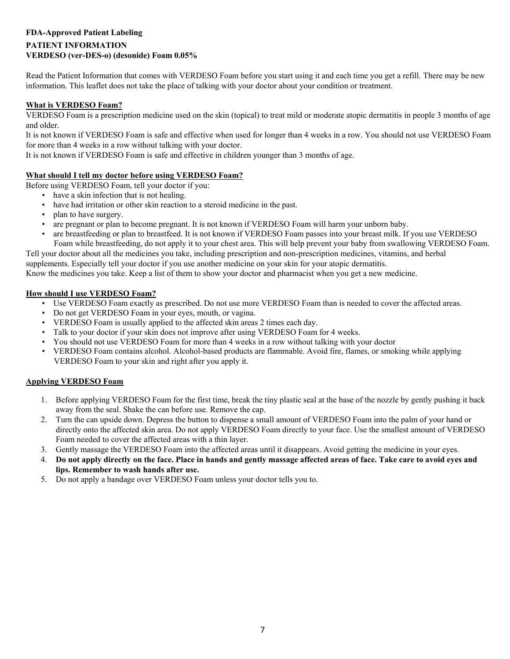# **FDA-Approved Patient Labeling PATIENT INFORMATION VERDESO (ver-DES-o) (desonide) Foam 0.05%**

 Read the Patient Information that comes with VERDESO Foam before you start using it and each time you get a refill. There may be new information. This leaflet does not take the place of talking with your doctor about your condition or treatment.

## **What is VERDESO Foam?**

 VERDESO Foam is a prescription medicine used on the skin (topical) to treat mild or moderate atopic dermatitis in people 3 months of age and older.

It is not known if VERDESO Foam is safe and effective when used for longer than 4 weeks in a row. You should not use VERDESO Foam for more than 4 weeks in a row without talking with your doctor.

It is not known if VERDESO Foam is safe and effective in children younger than 3 months of age.

## **What should I tell my doctor before using VERDESO Foam?**

Before using VERDESO Foam, tell your doctor if you:

- have a skin infection that is not healing.
- have had irritation or other skin reaction to a steroid medicine in the past.
- plan to have surgery.
- • are pregnant or plan to become pregnant. It is not known if VERDESO Foam will harm your unborn baby.
- • are breastfeeding or plan to breastfeed. It is not known if VERDESO Foam passes into your breast milk. If you use VERDESO Tell your doctor about all the medicines you take, including prescription and non-prescription medicines, vitamins, and herbal Foam while breastfeeding, do not apply it to your chest area. This will help prevent your baby from swallowing VERDESO Foam.

supplements. Especially tell your doctor if you use another medicine on your skin for your atopic dermatitis.

Know the medicines you take. Keep a list of them to show your doctor and pharmacist when you get a new medicine.

## **How should I use VERDESO Foam?**

- • Use VERDESO Foam exactly as prescribed. Do not use more VERDESO Foam than is needed to cover the affected areas.
- Do not get VERDESO Foam in your eyes, mouth, or vagina.
- VERDESO Foam is usually applied to the affected skin areas 2 times each day.
- Talk to your doctor if your skin does not improve after using VERDESO Foam for 4 weeks.
- You should not use VERDESO Foam for more than 4 weeks in a row without talking with your doctor
- VERDESO Foam contains alcohol. Alcohol-based products are flammable. Avoid fire, flames, or smoking while applying VERDESO Foam to your skin and right after you apply it.

## **Applying VERDESO Foam**

- 1. Before applying VERDESO Foam for the first time, break the tiny plastic seal at the base of the nozzle by gently pushing it back away from the seal. Shake the can before use. Remove the cap.
- 2. Turn the can upside down. Depress the button to dispense a small amount of VERDESO Foam into the palm of your hand or directly onto the affected skin area. Do not apply VERDESO Foam directly to your face. Use the smallest amount of VERDESO Foam needed to cover the affected areas with a thin layer.
- 3. Gently massage the VERDESO Foam into the affected areas until it disappears. Avoid getting the medicine in your eyes.
- 4. **Do not apply directly on the face. Place in hands and gently massage affected areas of face. Take care to avoid eyes and lips. Remember to wash hands after use.**
- 5. Do not apply a bandage over VERDESO Foam unless your doctor tells you to.